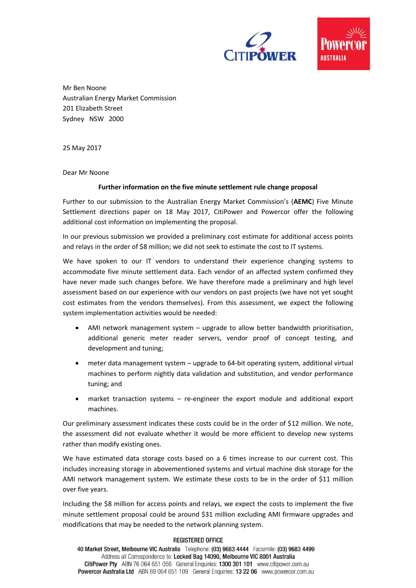



Mr Ben Noone Australian Energy Market Commission 201 Elizabeth Street Sydney NSW 2000

25 May 2017

Dear Mr Noone

## **Further information on the five minute settlement rule change proposal**

Further to our submission to the Australian Energy Market Commission's (**AEMC**) Five Minute Settlement directions paper on 18 May 2017, CitiPower and Powercor offer the following additional cost information on implementing the proposal.

In our previous submission we provided a preliminary cost estimate for additional access points and relays in the order of \$8 million; we did not seek to estimate the cost to IT systems.

We have spoken to our IT vendors to understand their experience changing systems to accommodate five minute settlement data. Each vendor of an affected system confirmed they have never made such changes before. We have therefore made a preliminary and high level assessment based on our experience with our vendors on past projects (we have not yet sought cost estimates from the vendors themselves). From this assessment, we expect the following system implementation activities would be needed:

- AMI network management system upgrade to allow better bandwidth prioritisation, additional generic meter reader servers, vendor proof of concept testing, and development and tuning;
- meter data management system upgrade to 64-bit operating system, additional virtual machines to perform nightly data validation and substitution, and vendor performance tuning; and
- market transaction systems re-engineer the export module and additional export machines.

Our preliminary assessment indicates these costs could be in the order of \$12 million. We note, the assessment did not evaluate whether it would be more efficient to develop new systems rather than modify existing ones.

We have estimated data storage costs based on a 6 times increase to our current cost. This includes increasing storage in abovementioned systems and virtual machine disk storage for the AMI network management system. We estimate these costs to be in the order of \$11 million over five years.

Including the \$8 million for access points and relays, we expect the costs to implement the five minute settlement proposal could be around \$31 million excluding AMI firmware upgrades and modifications that may be needed to the network planning system.

## **REGISTERED OFFICE**

40 Market Street, Melbourne VIC Australia Telephone: (03) 9683 4444 Facsimile: (03) 9683 4499 Address all Correspondence to: Locked Bag 14090, Melbourne VIC 8001 Australia CitiPower Pty ABN 76 064 651 056 General Enquiries: 1300 301 101 www.citipower.com.au Powercor Australia Ltd ABN 89 064 651 109 General Enquiries: 13 22 06 www.powercor.com.au